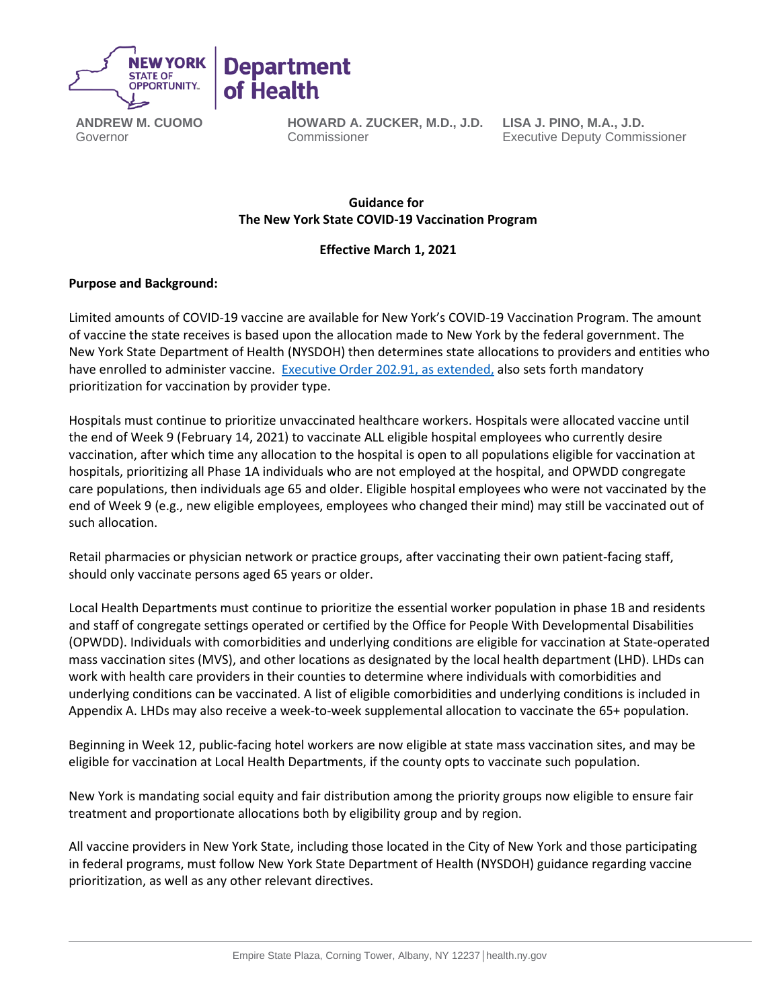

**ANDREW M. CUOMO** Governor

**HOWARD A. ZUCKER, M.D., J.D.** Commissioner

**LISA J. PINO, M.A., J.D.** Executive Deputy Commissioner

# **Guidance for   The New York State COVID-19 Vaccination Program**

# **Effective March 1, 2021**

# **Purpose and Background:**

Limited amounts of COVID-19 vaccine are available for New York's COVID-19 Vaccination Program. The amount of vaccine the state receives is based upon the allocation made to New York by the federal government. The New York State Department of Health (NYSDOH) then determines state allocations to providers and entities who have enrolled to administer vaccine. [Executive Order 202.91,](https://www.governor.ny.gov/news/no-20291-continuing-temporary-suspension-and-modification-laws-relating-disaster-emergency) as extended, also sets forth mandatory prioritization for vaccination by provider type.

Hospitals must continue to prioritize unvaccinated healthcare workers. Hospitals were allocated vaccine until the end of Week 9 (February 14, 2021) to vaccinate ALL eligible hospital employees who currently desire vaccination, after which time any allocation to the hospital is open to all populations eligible for vaccination at hospitals, prioritizing all Phase 1A individuals who are not employed at the hospital, and OPWDD congregate care populations, then individuals age 65 and older. Eligible hospital employees who were not vaccinated by the end of Week 9 (e.g., new eligible employees, employees who changed their mind) may still be vaccinated out of such allocation.

Retail pharmacies or physician network or practice groups, after vaccinating their own patient-facing staff, should only vaccinate persons aged 65 years or older.

Local Health Departments must continue to prioritize the essential worker population in phase 1B and residents and staff of congregate settings operated or certified by the Office for People With Developmental Disabilities (OPWDD). Individuals with comorbidities and underlying conditions are eligible for vaccination at State-operated mass vaccination sites (MVS), and other locations as designated by the local health department (LHD). LHDs can work with health care providers in their counties to determine where individuals with comorbidities and underlying conditions can be vaccinated. A list of eligible comorbidities and underlying conditions is included in Appendix A. LHDs may also receive a week-to-week supplemental allocation to vaccinate the 65+ population.

Beginning in Week 12, public-facing hotel workers are now eligible at state mass vaccination sites, and may be eligible for vaccination at Local Health Departments, if the county opts to vaccinate such population.

New York is mandating social equity and fair distribution among the priority groups now eligible to ensure fair treatment and proportionate allocations both by eligibility group and by region.

All vaccine providers in New York State, including those located in the City of New York and those participating in federal programs, must follow New York State Department of Health (NYSDOH) guidance regarding vaccine prioritization, as well as any other relevant directives.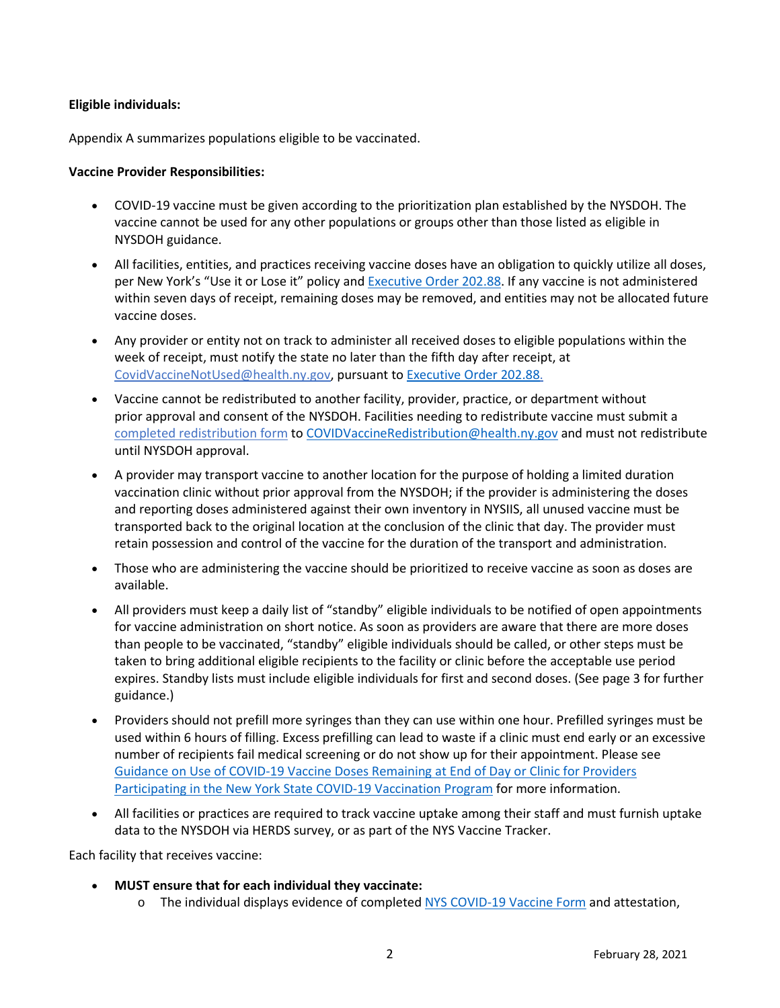## **Eligible individuals:**

Appendix A summarizes populations eligible to be vaccinated.

## **Vaccine Provider Responsibilities:**

- COVID-19 vaccine must be given according to the prioritization plan established by the NYSDOH. The vaccine cannot be used for any other populations or groups other than those listed as eligible in NYSDOH guidance.
- All facilities, entities, and practices receiving vaccine doses have an obligation to quickly utilize all doses, per New York's "Use it or Lose it" policy and [Executive Order 202.88.](https://www.governor.ny.gov/news/no-20288-continuing-temporary-suspension-and-modification-laws-relating-disaster-emergency) If any vaccine is not administered within seven days of receipt, remaining doses may be removed, and entities may not be allocated future vaccine doses.
- Any provider or entity not on track to administer all received doses to eligible populations within the week of receipt, must notify the state no later than the fifth day after receipt, at [CovidVaccineNotUsed@health.ny.gov,](mailto:CovidVaccineNotUsed@health.ny.gov) pursuant to [Executive Order 202.88.](https://www.governor.ny.gov/news/no-20288-continuing-temporary-suspension-and-modification-laws-relating-disaster-emergency)
- Vaccine cannot be redistributed to another facility, provider, practice, or department without prior approval and consent of the NYSDOH. Facilities needing to redistribute vaccine must submit a [completed redistribution form](https://coronavirus.health.ny.gov/system/files/documents/2021/01/vaccine_redistribution_guidance.pdf) t[o COVIDVaccineRedistribution@health.ny.gov](mailto:COVIDVaccineRedistribution@health.ny.gov) and must not redistribute until NYSDOH approval.
- A provider may transport vaccine to another location for the purpose of holding a limited duration vaccination clinic without prior approval from the NYSDOH; if the provider is administering the doses and reporting doses administered against their own inventory in NYSIIS, all unused vaccine must be transported back to the original location at the conclusion of the clinic that day. The provider must retain possession and control of the vaccine for the duration of the transport and administration.
- Those who are administering the vaccine should be prioritized to receive vaccine as soon as doses are available.
- All providers must keep a daily list of "standby" eligible individuals to be notified of open appointments for vaccine administration on short notice. As soon as providers are aware that there are more doses than people to be vaccinated, "standby" eligible individuals should be called, or other steps must be taken to bring additional eligible recipients to the facility or clinic before the acceptable use period expires. Standby lists must include eligible individuals for first and second doses. (See page 3 for further guidance.)
- Providers should not prefill more syringes than they can use within one hour. Prefilled syringes must be used within 6 hours of filling. Excess prefilling can lead to waste if a clinic must end early or an excessive number of recipients fail medical screening or do not show up for their appointment. Please see [Guidance on Use of COVID-19 Vaccine Doses Remaining at End of Day or Clinic for Providers](https://coronavirus.health.ny.gov/system/files/documents/2021/01/guidance_about_to_expire_remaining_doses_of_covid_19_vaccine011321.pdf)  Participating in [the New York State COVID-19 Vaccination Program](https://coronavirus.health.ny.gov/system/files/documents/2021/01/guidance_about_to_expire_remaining_doses_of_covid_19_vaccine011321.pdf) for more information.
- All facilities or practices are required to track vaccine uptake among their staff and must furnish uptake data to the NYSDOH via HERDS survey, or as part of the NYS Vaccine Tracker.

Each facility that receives vaccine: 

- **MUST ensure that for each individual they vaccinate:**
	- o The individual displays evidence of completed NYS [COVID-19 Vaccine Form](https://forms.ny.gov/s3/vaccine) and attestation,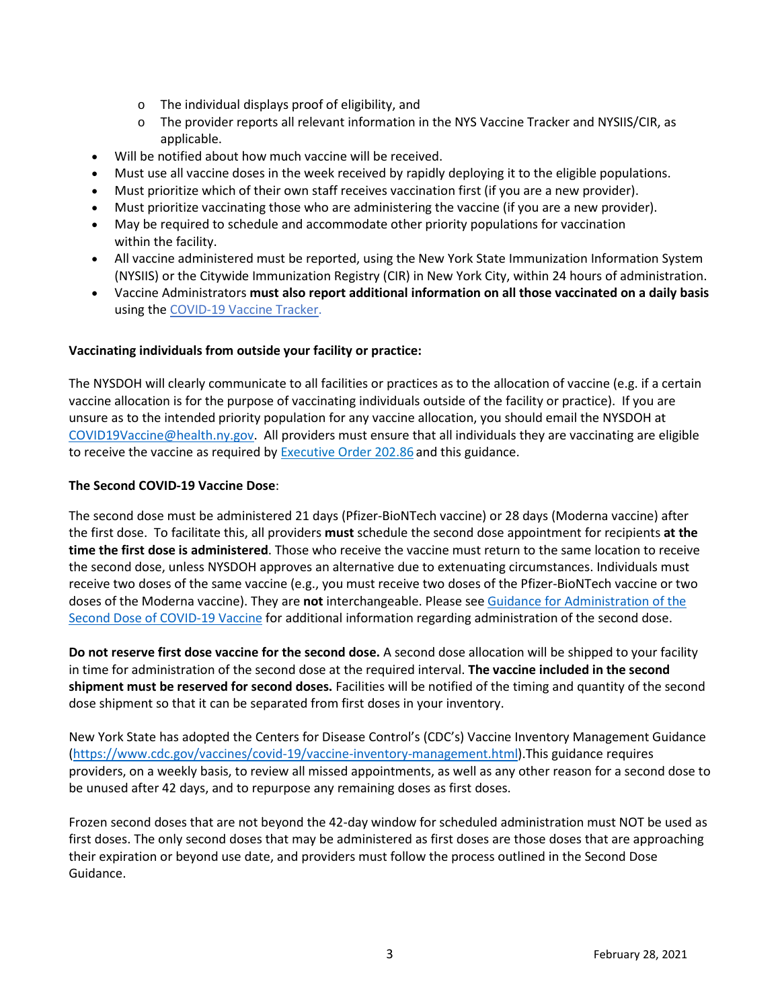- o The individual displays proof of eligibility, and
- o The provider reports all relevant information in the NYS Vaccine Tracker and NYSIIS/CIR, as applicable.
- Will be notified about how much vaccine will be received.
- Must use all vaccine doses in the week received by rapidly deploying it to the eligible populations.
- Must prioritize which of their own staff receives vaccination first (if you are a new provider).
- Must prioritize vaccinating those who are administering the vaccine (if you are a new provider).
- May be required to schedule and accommodate other priority populations for vaccination within the facility.
- All vaccine administered must be reported, using the New York State Immunization Information System (NYSIIS) or the Citywide Immunization Registry (CIR) in New York City, within 24 hours of administration.
- Vaccine Administrators **must also report additional information on all those vaccinated on a daily basis** using th[e COVID-19 Vaccine Tracker.](https://forms.ny.gov/s3/COVID-Vaccine-Tracker)

## **Vaccinating individuals from outside your facility or practice:**

The NYSDOH will clearly communicate to all facilities or practices as to the allocation of vaccine (e.g. if a certain vaccine allocation is for the purpose of vaccinating individuals outside of the facility or practice). If you are unsure as to the intended priority population for any vaccine allocation, you should email the NYSDOH at [COVID19Vaccine@health.ny.gov.](mailto:COVID19Vaccine@health.ny.gov) All providers must ensure that all individuals they are vaccinating are eligible to receive the vaccine as required by **Executive Order 202.86** and this guidance.

## **The Second COVID-19 Vaccine Dose**:

The second dose must be administered 21 days (Pfizer-BioNTech vaccine) or 28 days (Moderna vaccine) after the first dose. To facilitate this, all providers **must** schedule the second dose appointment for recipients **at the time the first dose is administered**. Those who receive the vaccine must return to the same location to receive the second dose, unless NYSDOH approves an alternative due to extenuating circumstances. Individuals must receive two doses of the same vaccine (e.g., you must receive two doses of the Pfizer-BioNTech vaccine or two doses of the Moderna vaccine). They are **not** interchangeable. Please see [Guidance for Administration of the](https://coronavirus.health.ny.gov/guidance-administration-second-dose)  [Second Dose of COVID-19 Vaccine](https://coronavirus.health.ny.gov/guidance-administration-second-dose) for additional information regarding administration of the second dose.

**Do not reserve first dose vaccine for the second dose.**A second dose allocation will be shipped to your facility in time for administration of the second dose at the required interval. **The vaccine included in the second shipment must be reserved for second doses.**Facilities will be notified of the timing and quantity of the second dose shipment so that it can be separated from first doses in your inventory.

New York State has adopted the Centers for Disease Control's (CDC's) Vaccine Inventory Management Guidance [\(https://www.cdc.gov/vaccines/covid-19/vaccine-inventory-management.html\)](https://www.cdc.gov/vaccines/covid-19/vaccine-inventory-management.html).This guidance requires providers, on a weekly basis, to review all missed appointments, as well as any other reason for a second dose to be unused after 42 days, and to repurpose any remaining doses as first doses.

Frozen second doses that are not beyond the 42-day window for scheduled administration must NOT be used as first doses. The only second doses that may be administered as first doses are those doses that are approaching their expiration or beyond use date, and providers must follow the process outlined in the Second Dose Guidance.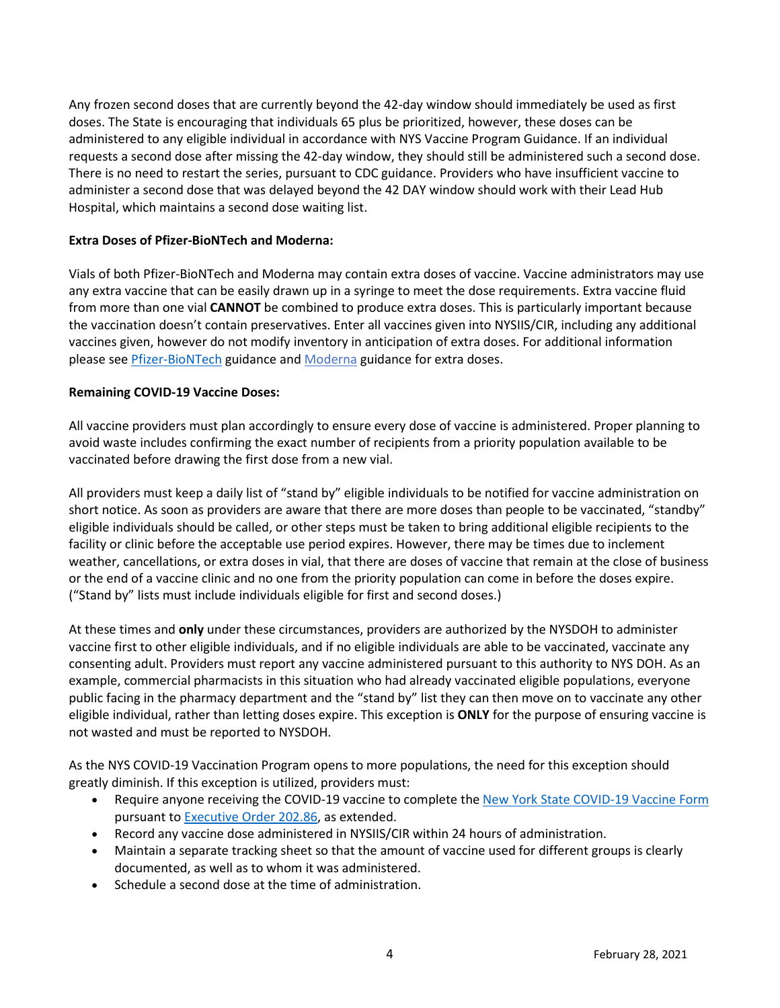Any frozen second doses that are currently beyond the 42-day window should immediately be used as first doses. The State is encouraging that individuals 65 plus be prioritized, however, these doses can be administered to any eligible individual in accordance with NYS Vaccine Program Guidance. If an individual requests a second dose after missing the 42-day window, they should still be administered such a second dose. There is no need to restart the series, pursuant to CDC guidance. Providers who have insufficient vaccine to administer a second dose that was delayed beyond the 42 DAY window should work with their Lead Hub Hospital, which maintains a second dose waiting list.

## **Extra Doses of Pfizer-BioNTech and Moderna:**

Vials of both Pfizer-BioNTech and Moderna may contain extra doses of vaccine. Vaccine administrators may use any extra vaccine that can be easily drawn up in a syringe to meet the dose requirements. Extra vaccine fluid from more than one vial **CANNOT** be combined to produce extra doses. This is particularly important because the vaccination doesn't contain preservatives. Enter all vaccines given into NYSIIS/CIR, including any additional vaccines given, however do not modify inventory in anticipation of extra doses. For additional information please see [Pfizer-BioNTech](https://coronavirus.health.ny.gov/system/files/documents/2020/12/pfizer_vaccine_guidance_doses.pdf) guidance and [Moderna](https://coronavirus.health.ny.gov/system/files/documents/2021/01/modernaextradosepackage.pdf) guidance for extra doses.

# **Remaining COVID-19 Vaccine Doses:**

All vaccine providers must plan accordingly to ensure every dose of vaccine is administered. Proper planning to avoid waste includes confirming the exact number of recipients from a priority population available to be vaccinated before drawing the first dose from a new vial.

All providers must keep a daily list of "stand by" eligible individuals to be notified for vaccine administration on short notice. As soon as providers are aware that there are more doses than people to be vaccinated, "standby" eligible individuals should be called, or other steps must be taken to bring additional eligible recipients to the facility or clinic before the acceptable use period expires. However, there may be times due to inclement weather, cancellations, or extra doses in vial, that there are doses of vaccine that remain at the close of business or the end of a vaccine clinic and no one from the priority population can come in before the doses expire. ("Stand by" lists must include individuals eligible for first and second doses.)

At these times and **only** under these circumstances, providers are authorized by the NYSDOH to administer vaccine first to other eligible individuals, and if no eligible individuals are able to be vaccinated, vaccinate any consenting adult. Providers must report any vaccine administered pursuant to this authority to NYS DOH. As an example, commercial pharmacists in this situation who had already vaccinated eligible populations, everyone public facing in the pharmacy department and the "stand by" list they can then move on to vaccinate any other eligible individual, rather than letting doses expire. This exception is **ONLY** for the purpose of ensuring vaccine is not wasted and must be reported to NYSDOH.

As the NYS COVID-19 Vaccination Program opens to more populations, the need for this exception should greatly diminish. If this exception is utilized, providers must:

- Require anyone receiving the COVID-19 vaccine to complete the [New York State COVID-19 Vaccine Form](https://forms.ny.gov/s3/vaccine) pursuant t[o Executive Order 202.86,](https://www.governor.ny.gov/news/no-20286-continuing-temporary-suspension-and-modification-laws-relating-disaster-emergency) as extended.
- Record any vaccine dose administered in NYSIIS/CIR within 24 hours of administration.
- Maintain a separate tracking sheet so that the amount of vaccine used for different groups is clearly documented, as well as to whom it was administered.
- Schedule a second dose at the time of administration.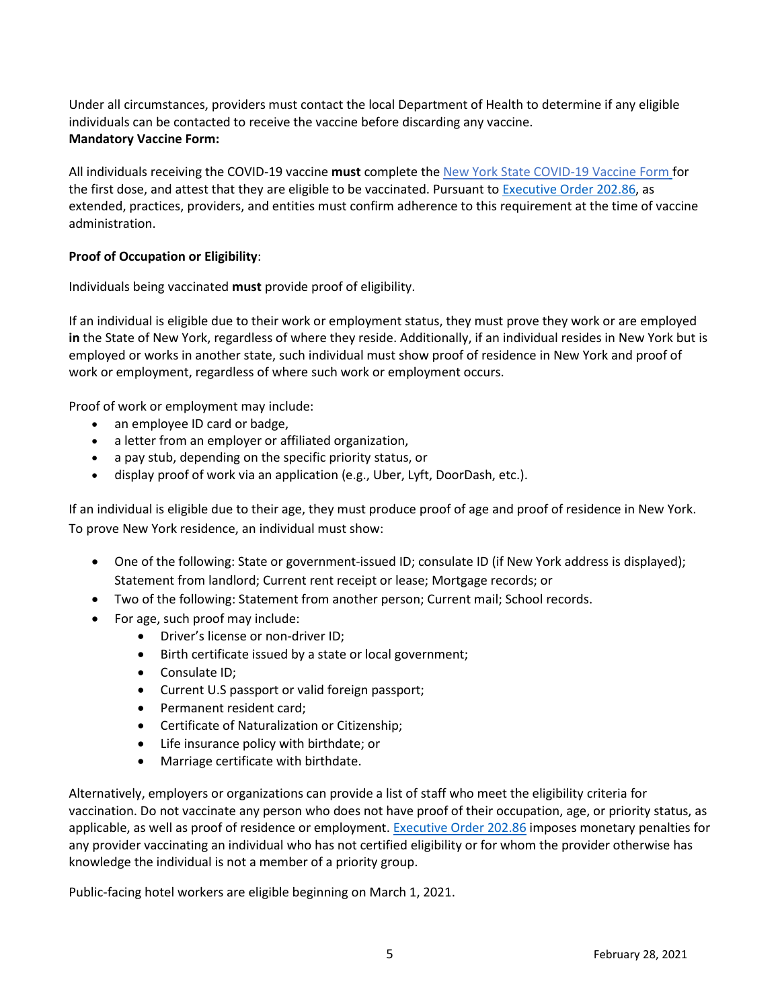Under all circumstances, providers must contact the local Department of Health to determine if any eligible individuals can be contacted to receive the vaccine before discarding any vaccine. **Mandatory Vaccine Form:**

All individuals receiving the COVID-19 vaccine **must** complete the [New York State COVID-19 Vaccine Form](https://forms.ny.gov/s3/vaccine) for the first dose, and attest that they are eligible to be vaccinated. Pursuant t[o Executive Order 202.86,](https://www.governor.ny.gov/news/no-20286-continuing-temporary-suspension-and-modification-laws-relating-disaster-emergency) as extended, practices, providers, and entities must confirm adherence to this requirement at the time of vaccine administration.

# **Proof of Occupation or Eligibility**:

Individuals being vaccinated **must** provide proof of eligibility.

If an individual is eligible due to their work or employment status, they must prove they work or are employed **in** the State of New York, regardless of where they reside. Additionally, if an individual resides in New York but is employed or works in another state, such individual must show proof of residence in New York and proof of work or employment, regardless of where such work or employment occurs.

Proof of work or employment may include:

- an employee ID card or badge,
- a letter from an employer or affiliated organization,
- a pay stub, depending on the specific priority status, or
- display proof of work via an application (e.g., Uber, Lyft, DoorDash, etc.).

If an individual is eligible due to their age, they must produce proof of age and proof of residence in New York. To prove New York residence, an individual must show:

- One of the following: State or government-issued ID; consulate ID (if New York address is displayed); Statement from landlord; Current rent receipt or lease; Mortgage records; or
- Two of the following: Statement from another person; Current mail; School records.
- For age, such proof may include:
	- Driver's license or non-driver ID;
	- Birth certificate issued by a state or local government;
	- Consulate ID;
	- Current U.S passport or valid foreign passport;
	- Permanent resident card;
	- Certificate of Naturalization or Citizenship;
	- Life insurance policy with birthdate; or
	- Marriage certificate with birthdate.

Alternatively, employers or organizations can provide a list of staff who meet the eligibility criteria for vaccination. Do not vaccinate any person who does not have proof of their occupation, age, or priority status, as applicable, as well as proof of residence or employment[. Executive Order 202.86](https://www.governor.ny.gov/news/no-20286-continuing-temporary-suspension-and-modification-laws-relating-disaster-emergency) imposes monetary penalties for any provider vaccinating an individual who has not certified eligibility or for whom the provider otherwise has knowledge the individual is not a member of a priority group.

Public-facing hotel workers are eligible beginning on March 1, 2021.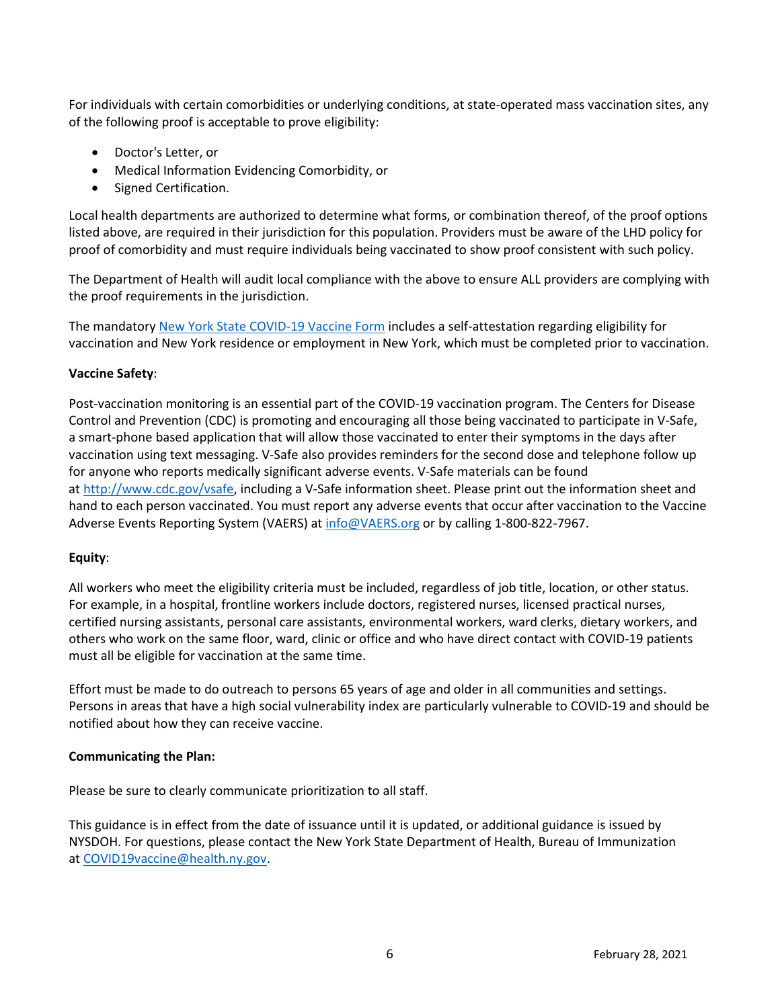For individuals with certain comorbidities or underlying conditions, at state-operated mass vaccination sites, any of the following proof is acceptable to prove eligibility:

- Doctor's Letter, or
- Medical Information Evidencing Comorbidity, or
- Signed Certification.

Local health departments are authorized to determine what forms, or combination thereof, of the proof options listed above, are required in their jurisdiction for this population. Providers must be aware of the LHD policy for proof of comorbidity and must require individuals being vaccinated to show proof consistent with such policy.

The Department of Health will audit local compliance with the above to ensure ALL providers are complying with the proof requirements in the jurisdiction.

The mandatory [New York State COVID-19 Vaccine Form](https://forms.ny.gov/s3/vaccine) includes a self-attestation regarding eligibility for vaccination and New York residence or employment in New York, which must be completed prior to vaccination.

#### **Vaccine Safety**:

Post-vaccination monitoring is an essential part of the COVID-19 vaccination program. The Centers for Disease Control and Prevention (CDC) is promoting and encouraging all those being vaccinated to participate in V-Safe, a smart-phone based application that will allow those vaccinated to enter their symptoms in the days after vaccination using text messaging. V-Safe also provides reminders for the second dose and telephone follow up for anyone who reports medically significant adverse events. V-Safe materials can be found at [http://www.cdc.gov/vsafe,](http://www.cdc.gov/vsafe) including a V-Safe information sheet. Please print out the information sheet and hand to each person vaccinated. You must report any adverse events that occur after vaccination to the Vaccine Adverse Events Reporting System (VAERS) a[t info@VAERS.org](mailto:info@VAERS.org) or by calling 1-800-822-7967.

#### **Equity**:

All workers who meet the eligibility criteria must be included, regardless of job title, location, or other status. For example, in a hospital, frontline workers include doctors, registered nurses, licensed practical nurses, certified nursing assistants, personal care assistants, environmental workers, ward clerks, dietary workers, and others who work on the same floor, ward, clinic or office and who have direct contact with COVID-19 patients must all be eligible for vaccination at the same time.

Effort must be made to do outreach to persons 65 years of age and older in all communities and settings. Persons in areas that have a high social vulnerability index are particularly vulnerable to COVID-19 and should be notified about how they can receive vaccine.

#### **Communicating the Plan:**

Please be sure to clearly communicate prioritization to all staff.  

This guidance is in effect from the date of issuance until it is updated, or additional guidance is issued by NYSDOH. For questions, please contact the New York State Department of Health, Bureau of Immunization at [COVID19vaccine@health.ny.gov.](mailto:COVID19vaccine@health.ny.gov)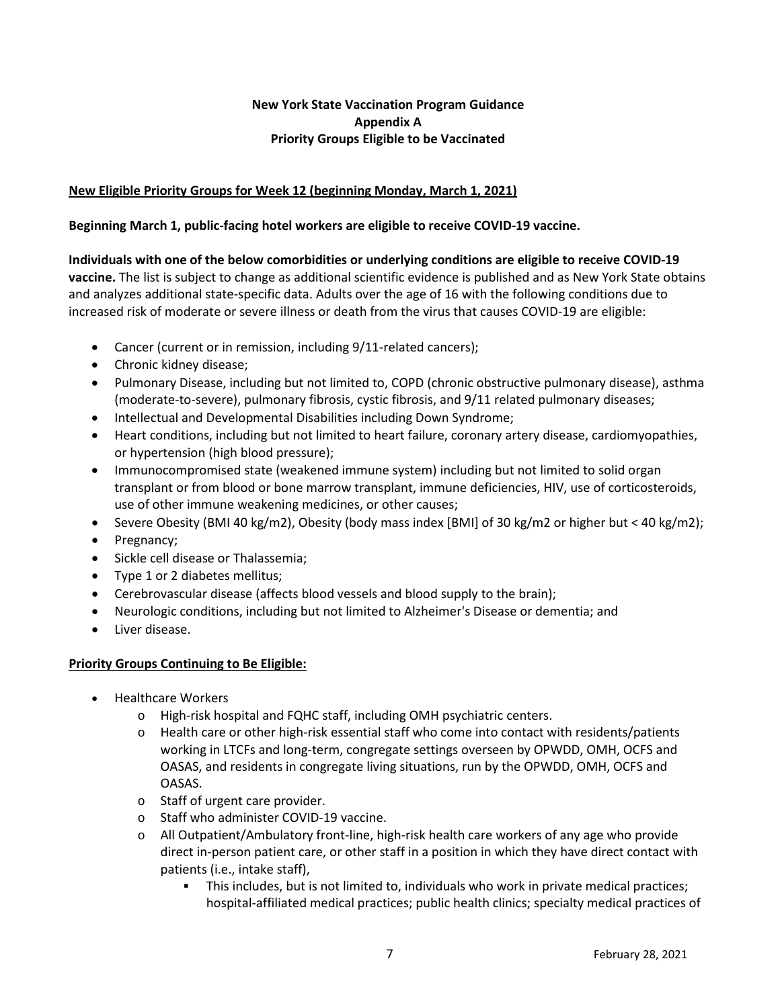# **New York State Vaccination Program Guidance Appendix A Priority Groups Eligible to be Vaccinated**

# **New Eligible Priority Groups for Week 12 (beginning Monday, March 1, 2021)**

## **Beginning March 1, public-facing hotel workers are eligible to receive COVID-19 vaccine.**

# **Individuals with one of the below comorbidities or underlying conditions are eligible to receive COVID-19**

**vaccine.** The list is subject to change as additional scientific evidence is published and as New York State obtains and analyzes additional state-specific data. Adults over the age of 16 with the following conditions due to increased risk of moderate or severe illness or death from the virus that causes COVID-19 are eligible:

- Cancer (current or in remission, including 9/11-related cancers);
- Chronic kidney disease;
- Pulmonary Disease, including but not limited to, COPD (chronic obstructive pulmonary disease), asthma (moderate-to-severe), pulmonary fibrosis, cystic fibrosis, and 9/11 related pulmonary diseases;
- Intellectual and Developmental Disabilities including Down Syndrome;
- Heart conditions, including but not limited to heart failure, coronary artery disease, cardiomyopathies, or hypertension (high blood pressure);
- Immunocompromised state (weakened immune system) including but not limited to solid organ transplant or from blood or bone marrow transplant, immune deficiencies, HIV, use of corticosteroids, use of other immune weakening medicines, or other causes;
- Severe Obesity (BMI 40 kg/m2), Obesity (body mass index [BMI] of 30 kg/m2 or higher but < 40 kg/m2);
- Pregnancy;
- Sickle cell disease or Thalassemia;
- Type 1 or 2 diabetes mellitus;
- Cerebrovascular disease (affects blood vessels and blood supply to the brain);
- Neurologic conditions, including but not limited to Alzheimer's Disease or dementia; and
- Liver disease.

## **Priority Groups Continuing to Be Eligible:**

- Healthcare Workers
	- o High-risk hospital and FQHC staff, including OMH psychiatric centers.
	- $\circ$  Health care or other high-risk essential staff who come into contact with residents/patients working in LTCFs and long-term, congregate settings overseen by OPWDD, OMH, OCFS and OASAS, and residents in congregate living situations, run by the OPWDD, OMH, OCFS and OASAS.
	- o Staff of urgent care provider.
	- o Staff who administer COVID-19 vaccine.
	- o All Outpatient/Ambulatory front-line, high-risk health care workers of any age who provide direct in-person patient care, or other staff in a position in which they have direct contact with patients (i.e., intake staff),
		- This includes, but is not limited to, individuals who work in private medical practices; hospital-affiliated medical practices; public health clinics; specialty medical practices of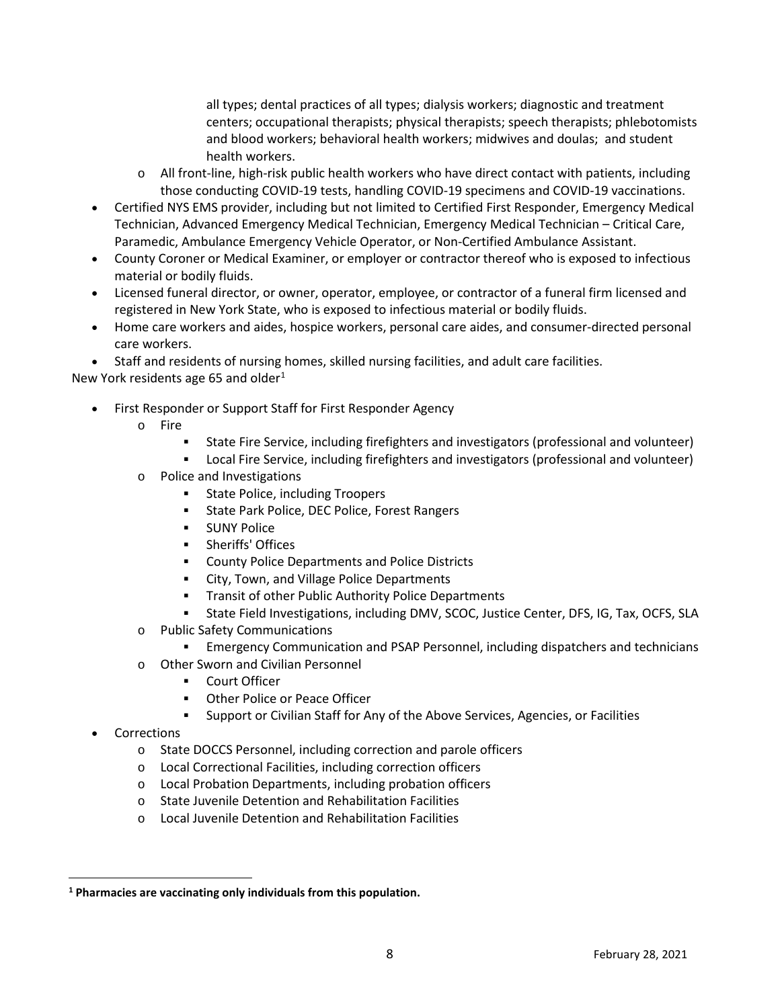all types; dental practices of all types; dialysis workers; diagnostic and treatment centers; occupational therapists; physical therapists; speech therapists; phlebotomists and blood workers; behavioral health workers; midwives and doulas; and student health workers.

- o All front-line, high-risk public health workers who have direct contact with patients, including those conducting COVID-19 tests, handling COVID-19 specimens and COVID-19 vaccinations.
- Certified NYS EMS provider, including but not limited to Certified First Responder, Emergency Medical Technician, Advanced Emergency Medical Technician, Emergency Medical Technician – Critical Care, Paramedic, Ambulance Emergency Vehicle Operator, or Non-Certified Ambulance Assistant.
- County Coroner or Medical Examiner, or employer or contractor thereof who is exposed to infectious material or bodily fluids.
- Licensed funeral director, or owner, operator, employee, or contractor of a funeral firm licensed and registered in New York State, who is exposed to infectious material or bodily fluids.
- Home care workers and aides, hospice workers, personal care aides, and consumer-directed personal care workers.

• Staff and residents of nursing homes, skilled nursing facilities, and adult care facilities.

New York residents age 65 and older $1$ 

- First Responder or Support Staff for First Responder Agency
	- o Fire
		- State Fire Service, including firefighters and investigators (professional and volunteer)
		- Local Fire Service, including firefighters and investigators (professional and volunteer)
	- o Police and Investigations
		- **State Police, including Troopers**
		- State Park Police, DEC Police, Forest Rangers
		- **SUNY Police**
		- **-** Sheriffs' Offices
		- County Police Departments and Police Districts
		- **EXECT:** City, Town, and Village Police Departments
		- **Transit of other Public Authority Police Departments**
		- State Field Investigations, including DMV, SCOC, Justice Center, DFS, IG, Tax, OCFS, SLA
	- o Public Safety Communications
		- Emergency Communication and PSAP Personnel, including dispatchers and technicians
	- o Other Sworn and Civilian Personnel
		- Court Officer
		- Other Police or Peace Officer
		- Support or Civilian Staff for Any of the Above Services, Agencies, or Facilities
- **Corrections** 
	- o State DOCCS Personnel, including correction and parole officers
	- o Local Correctional Facilities, including correction officers
	- o Local Probation Departments, including probation officers
	- o State Juvenile Detention and Rehabilitation Facilities
	- o Local Juvenile Detention and Rehabilitation Facilities

<span id="page-7-0"></span>**<sup>1</sup> Pharmacies are vaccinating only individuals from this population.**